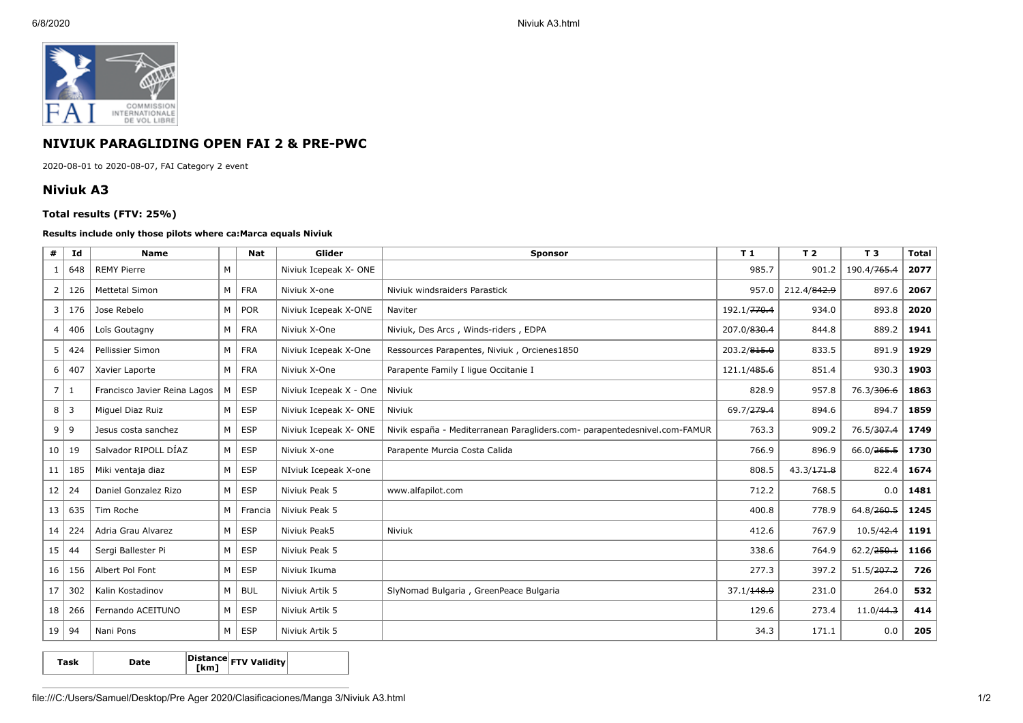

## **NIVIUK PARAGLIDING OPEN FAI 2 & PRE-PWC**

2020-08-01 to 2020-08-07, FAI Category 2 event

## **Niviuk A3**

## **Total results (FTV: 25%)**

## **Results include only those pilots where ca:Marca equals Niviuk**

| #               | Id         | <b>Name</b>                  |   | <b>Nat</b> | Glider                 | <b>Sponsor</b>                                                            | T 1         | T <sub>2</sub> | T <sub>3</sub>          | <b>Total</b> |
|-----------------|------------|------------------------------|---|------------|------------------------|---------------------------------------------------------------------------|-------------|----------------|-------------------------|--------------|
|                 | 648        | <b>REMY Pierre</b>           | M |            | Niviuk Icepeak X- ONE  |                                                                           | 985.7       | 901.2          | 190.4/ <del>765.4</del> | 2077         |
| 2               | 126        | <b>Mettetal Simon</b>        | M | <b>FRA</b> | Niviuk X-one           | Niviuk windsraiders Parastick                                             |             | 212.4/842.9    | 897.6                   | 2067         |
| 3               | 176        | Jose Rebelo                  | M | <b>POR</b> | Niviuk Icepeak X-ONE   | 192.1/ <del>770.4</del><br>Naviter                                        |             | 934.0          | 893.8                   | 2020         |
| 4 <sup>1</sup>  | 406        | Loïs Goutagny                | M | <b>FRA</b> | Niviuk X-One           | Niviuk, Des Arcs, Winds-riders, EDPA                                      | 207.0/830.4 | 844.8          | 889.2                   | 1941         |
| 5 <sup>1</sup>  | 424        | Pellissier Simon             | M | <b>FRA</b> | Niviuk Icepeak X-One   | 203.2/815.0<br>Ressources Parapentes, Niviuk, Orcienes1850                |             | 833.5          | 891.9                   | 1929         |
| 6 <sup>1</sup>  | 407        | Xavier Laporte               | M | <b>FRA</b> | Niviuk X-One           | 121.1/485.6<br>Parapente Family I lique Occitanie I                       |             | 851.4          | 930.3                   | 1903         |
| 7   1           |            | Francisco Javier Reina Lagos | M | <b>ESP</b> | Niviuk Icepeak X - One | Niviuk                                                                    | 828.9       | 957.8          | 76.3/306.6              | 1863         |
|                 | $8 \mid 3$ | Miquel Diaz Ruiz             | M | <b>ESP</b> | Niviuk Icepeak X- ONE  | Niviuk                                                                    | 69.7/279.4  | 894.6          | 894.7                   | 1859         |
|                 | $9 \mid 9$ | Jesus costa sanchez          | M | <b>ESP</b> | Niviuk Icepeak X- ONE  | Nivik españa - Mediterranean Paragliders.com- parapentedesnivel.com-FAMUR | 763.3       | 909.2          | 76.5/307.4              | 1749         |
| 10              | 19         | Salvador RIPOLL DÍAZ         | M | <b>ESP</b> | Niviuk X-one           | Parapente Murcia Costa Calida                                             | 766.9       | 896.9          | 66.0/265.5              | 1730         |
| 11              | 185        | Miki ventaja diaz            | M | <b>ESP</b> | NIviuk Icepeak X-one   |                                                                           | 808.5       | 43.3/171.8     | 822.4                   | 1674         |
| 12              | 24         | Daniel Gonzalez Rizo         | M | <b>ESP</b> | Niviuk Peak 5          | www.alfapilot.com                                                         | 712.2       | 768.5          | 0.0                     | 1481         |
| 13              | 635        | Tim Roche                    | M | Francia    | Niviuk Peak 5          |                                                                           | 400.8       | 778.9          | 64.8/260.5              | 1245         |
| 14              | 224        | Adria Grau Alvarez           | M | <b>ESP</b> | Niviuk Peak5           | Niviuk                                                                    | 412.6       | 767.9          | 10.5/42.4               | 1191         |
| 15              | 44         | Sergi Ballester Pi           | M | <b>ESP</b> | Niviuk Peak 5          |                                                                           | 338.6       | 764.9          | 62.2/250.1              | 1166         |
| 16 <sup>1</sup> | 156        | Albert Pol Font              | M | <b>ESP</b> | Niviuk Ikuma           |                                                                           | 277.3       | 397.2          | 51.5/207.2              | 726          |
| 17              | 302        | Kalin Kostadinov             | M | <b>BUL</b> | Niviuk Artik 5         | SlyNomad Bulgaria, GreenPeace Bulgaria                                    | 37.1/148.9  | 231.0          | 264.0                   | 532          |
| 18              | 266        | Fernando ACEITUNO            | M | <b>ESP</b> | Niviuk Artik 5         |                                                                           | 129.6       | 273.4          | 11.0/44.3               | 414          |
|                 | 19   94    | Nani Pons                    | M | <b>ESP</b> | Niviuk Artik 5         |                                                                           | 34.3        | 171.1          | 0.0                     | 205          |

**Task Date Distance [km] FTV Validity**